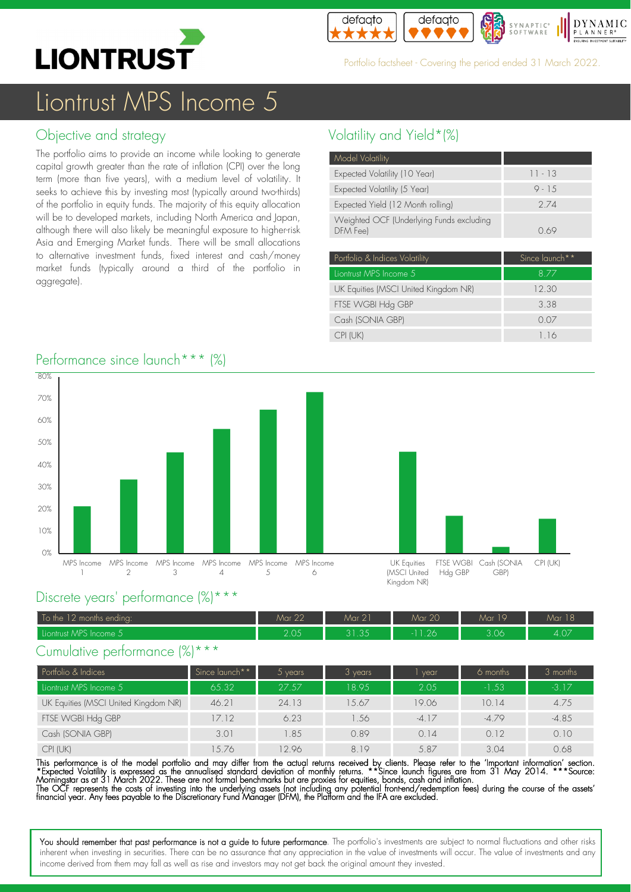



Portfolio factsheet - Covering the period ended 31 March 2022.

# Liontrust MPS Income 5

### Objective and strategy

The portfolio aims to provide an income while looking to generate capital growth greater than the rate of inflation (CPI) over the long term (more than five years), with a medium level of volatility. It seeks to achieve this by investing most (typically around two-thirds) of the portfolio in equity funds. The majority of this equity allocation will be to developed markets, including North America and Japan, although there will also likely be meaningful exposure to higher-risk Asia and Emerging Market funds. There will be small allocations to alternative investment funds, fixed interest and cash/money market funds (typically around a third of the portfolio in aggregate).

### Volatility and Yield\*(%)

| Model Volatility                                     |           |
|------------------------------------------------------|-----------|
| Expected Volatility (10 Year)                        | $11 - 13$ |
| Expected Volatility (5 Year)                         | $9 - 1.5$ |
| Expected Yield (12 Month rolling)                    | 2 74      |
| Weighted OCF (Underlying Funds excluding<br>DFM Fee) | O 69      |
|                                                      |           |

| Portfolio & Indices Volatility       | Since launch <sup>**</sup> |
|--------------------------------------|----------------------------|
| Liontrust MPS Income 5               | 8.77                       |
| UK Equities (MSCI United Kingdom NR) | 12.30                      |
| FTSE WGBI Hdg GBP                    | 3.38                       |
| Cash (SONIA GBP)                     | 0.07                       |
| CPI (UK)                             | 1.16                       |

CPI (UK)

#### 0% 10% 20% 30% 40% 50% 60% 70% 80% MPS Income MPS Income MPS Income MPS Income MPS Income MPS Income 1  $\mathcal{L}$ 3  $\Delta$ 5 6 UK Equities (MSCI United Kingdom NR) FTSE WGBI Hdg GBP Cash (SONIA GBP)

### Performance since launch<sup>\*\*\*</sup> (%)

### Discrete years' performance (%)\*\*\*

| To the 12 months ending: | Mar 22        | Mar 21          | Mar 20 | Mar 19 | $\sim$ $\sim$<br>Mar 18 |
|--------------------------|---------------|-----------------|--------|--------|-------------------------|
| Liontrust MPS Income 5'  | つ へよ<br>Z.UJ. | 2125<br>U I .UJ | 1.26'  | 3.06   | 4.07                    |

### Cumulative performance (%)\*\*\*

| Portfolio & Indices                  | Since launch** | vears <sup>1</sup> | $3$ years | vear    | 6 months | 3 months |
|--------------------------------------|----------------|--------------------|-----------|---------|----------|----------|
| Liontrust MPS Income 5               | 65.32          | 27.57              | 18.95     | 2.05    | $-1.53$  | $-3.17$  |
| UK Equities (MSCI United Kingdom NR) | 46.21          | 24.13              | 1.5.67    | 19.06   | 10.14    | 4.75     |
| FTSE WGBI Hdg GBP                    | 17.12          | 6.23               | .56       | $-4.17$ | $-4.79$  | $-4.85$  |
| Cash (SONIA GBP)                     | 3.01           | 1.85               | 0.89      | 0.14    | 0.12     | 0.10     |
| CPI (UK)                             | 5.76           | 2.96               | 819       | 5.87    | 3.04     | 0.68     |

This performance is of the model portfolio and may differ from the actual returns received by clients. Please refer to the 'Important information' section. \*Expected Volatility is expressed as the annualised standard deviation of monthly returns. \*\*Since launch tigures are from 31 May 2014. \*\*\*Source:<br>Morningstar as at 31 March 2022. These are not formal benchmarks but are pr The OCF represents the costs of investing into the underlying assets (not including any potential tront-end/redemption tees) during the course of the assets'<br>financial year. Any fees payable to the Discretionary Fund Manag

You should remember that past performance is not a guide to future performance. The portfolio's investments are subject to normal fluctuations and other risks inherent when investing in securities. There can be no assurance that any appreciation in the value of investments will occur. The value of investments and any income derived from them may fall as well as rise and investors may not get back the original amount they invested.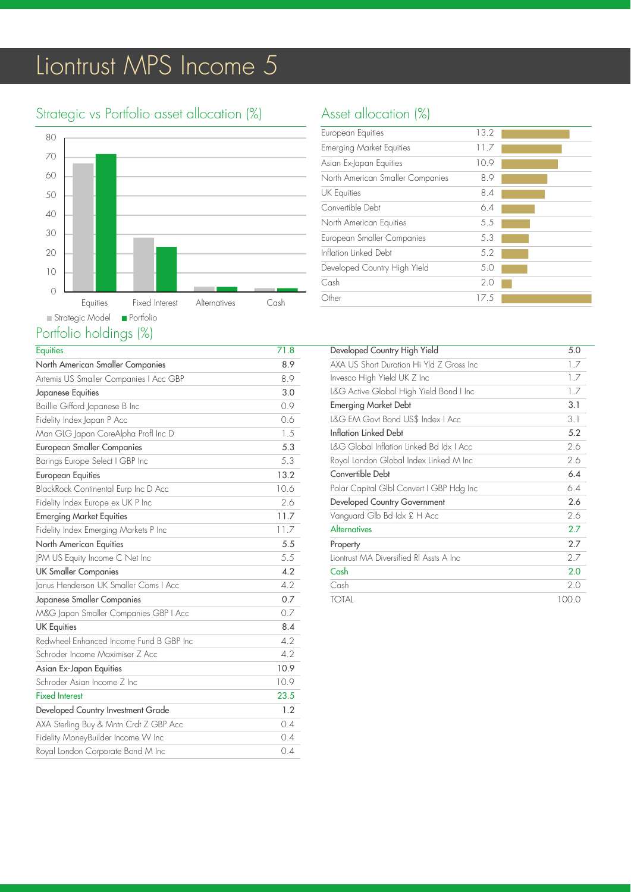# Liontrust MPS Income 5

### Strategic vs Portfolio asset allocation (%)



### Portfolio holdings (%)

| <b>Equities</b>                         | 71.8 |
|-----------------------------------------|------|
| North American Smaller Companies        | 8.9  |
| Artemis US Smaller Companies   Acc GBP  | 8.9  |
| Japanese Equities                       | 3.0  |
| Baillie Gifford Japanese B Inc          | 0.9  |
| Fidelity Index Japan P Acc              | 0.6  |
| Man GLG Japan CoreAlpha Profl Inc D     | 1.5  |
| <b>European Smaller Companies</b>       | 5.3  |
| Barings Europe Select I GBP Inc         | 5.3  |
| <b>European Equities</b>                | 13.2 |
| BlackRock Continental Eurp Inc D Acc    | 10.6 |
| Fidelity Index Europe ex UK P Inc       | 2.6  |
| <b>Emerging Market Equities</b>         | 11.7 |
| Fidelity Index Emerging Markets P Inc   | 11.7 |
| North American Equities                 | 5.5  |
| JPM US Equity Income C Net Inc          | 5.5  |
| <b>UK Smaller Companies</b>             | 4.2  |
| Janus Henderson UK Smaller Coms I Acc   | 4.2  |
| Japanese Smaller Companies              | 0.7  |
| M&G Japan Smaller Companies GBP   Acc   | 0.7  |
| <b>UK Equities</b>                      | 8.4  |
| Redwheel Enhanced Income Fund B GBP Inc | 4.2  |
| Schroder Income Maximiser Z Acc         | 4.2  |
| Asian Ex-Japan Equities                 | 10.9 |
| Schroder Asian Income 7 Inc.            | 10.9 |
| <b>Fixed Interest</b>                   | 23.5 |
| Developed Country Investment Grade      | 1.2  |
| AXA Sterling Buy & Mntn Crdt Z GBP Acc  | 0.4  |
| Fidelity MoneyBuilder Income W Inc      | 0.4  |
| Royal London Corporate Bond M Inc       | 0.4  |

### Asset allocation (%)

| European Equities                | 13.2 |  |
|----------------------------------|------|--|
| <b>Emerging Market Equities</b>  | 11.7 |  |
| Asian Ex-Japan Equities          | 10.9 |  |
| North American Smaller Companies | 8.9  |  |
| UK Equities                      | 8.4  |  |
| Convertible Debt                 | 6.4  |  |
| North American Equities          | 5.5  |  |
| European Smaller Companies       | 5.3  |  |
| Inflation Linked Debt            | 5.2  |  |
| Developed Country High Yield     | 5.0  |  |
| Cash                             | 2.0  |  |
| Other                            | 17.5 |  |
|                                  |      |  |

| Developed Country High Yield              | 5.0   |
|-------------------------------------------|-------|
| AXA US Short Duration Hi Yld 7 Gross Inc. | 1.7   |
| Invesco High Yield UK Z Inc               | 1.7   |
| L&G Active Global High Yield Bond I Inc   | 1.7   |
| <b>Emerging Market Debt</b>               | 3.1   |
| L&G EM Govt Bond US\$ Index   Acc         | 3.1   |
| Inflation Linked Debt                     | 5.2   |
| L&G Global Inflation Linked Bd Idx I Acc  | 2.6   |
| Royal London Global Index Linked M Inc    | 2.6   |
| Convertible Debt                          | 6.4   |
| Polar Capital Glbl Convert I GBP Hdg Inc  | 6.4   |
| Developed Country Government              | 2.6   |
| Vanguard Glb Bd Idx £ H Acc               | 2.6   |
| Alternatives                              | 2.7   |
| Property                                  | 2.7   |
| Liontrust MA Diversified RI Assts A Inc   | 2.7   |
| Cash                                      | 2.0   |
| Cash                                      | 2.0   |
| <b>TOTAL</b>                              | 100.0 |